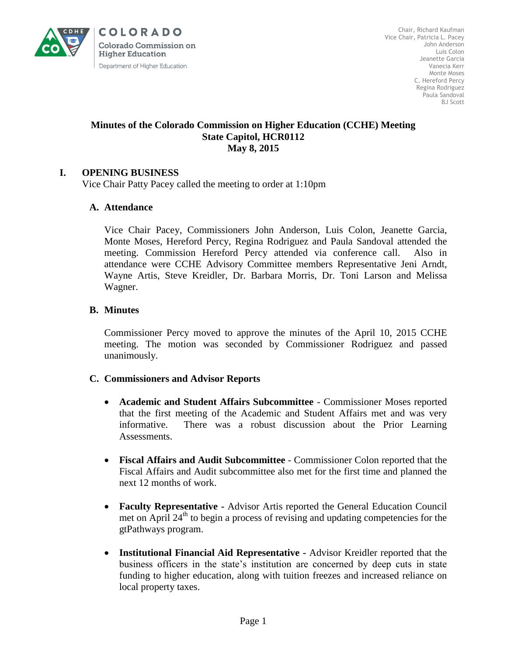

**COLORADO** Colorado Commission on **Higher Education** Department of Higher Education

# **Minutes of the Colorado Commission on Higher Education (CCHE) Meeting State Capitol, HCR0112 May 8, 2015**

# **I. OPENING BUSINESS**

Vice Chair Patty Pacey called the meeting to order at 1:10pm

# **A. Attendance**

Vice Chair Pacey, Commissioners John Anderson, Luis Colon, Jeanette Garcia, Monte Moses, Hereford Percy, Regina Rodriguez and Paula Sandoval attended the meeting. Commission Hereford Percy attended via conference call. Also in attendance were CCHE Advisory Committee members Representative Jeni Arndt, Wayne Artis, Steve Kreidler, Dr. Barbara Morris, Dr. Toni Larson and Melissa Wagner.

#### **B. Minutes**

Commissioner Percy moved to approve the minutes of the April 10, 2015 CCHE meeting. The motion was seconded by Commissioner Rodriguez and passed unanimously.

# **C. Commissioners and Advisor Reports**

- **Academic and Student Affairs Subcommittee** Commissioner Moses reported that the first meeting of the Academic and Student Affairs met and was very informative. There was a robust discussion about the Prior Learning Assessments.
- **Fiscal Affairs and Audit Subcommittee** Commissioner Colon reported that the Fiscal Affairs and Audit subcommittee also met for the first time and planned the next 12 months of work.
- **Faculty Representative -** Advisor Artis reported the General Education Council met on April  $24<sup>th</sup>$  to begin a process of revising and updating competencies for the gtPathways program.
- **Institutional Financial Aid Representative -** Advisor Kreidler reported that the business officers in the state's institution are concerned by deep cuts in state funding to higher education, along with tuition freezes and increased reliance on local property taxes.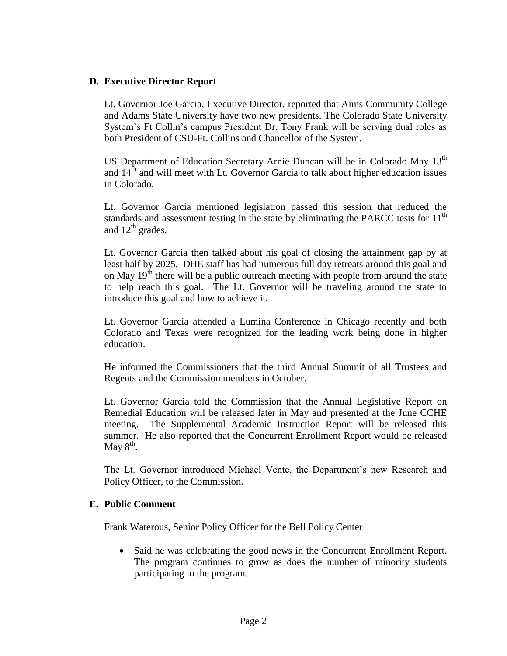#### **D. Executive Director Report**

Lt. Governor Joe Garcia, Executive Director, reported that Aims Community College and Adams State University have two new presidents. The Colorado State University System's Ft Collin's campus President Dr. Tony Frank will be serving dual roles as both President of CSU-Ft. Collins and Chancellor of the System.

US Department of Education Secretary Arnie Duncan will be in Colorado May 13<sup>th</sup> and  $14<sup>th</sup>$  and will meet with Lt. Governor Garcia to talk about higher education issues in Colorado.

Lt. Governor Garcia mentioned legislation passed this session that reduced the standards and assessment testing in the state by eliminating the PARCC tests for  $11<sup>th</sup>$ and  $12^{th}$  grades.

Lt. Governor Garcia then talked about his goal of closing the attainment gap by at least half by 2025. DHE staff has had numerous full day retreats around this goal and on May  $19<sup>th</sup>$  there will be a public outreach meeting with people from around the state to help reach this goal. The Lt. Governor will be traveling around the state to introduce this goal and how to achieve it.

Lt. Governor Garcia attended a Lumina Conference in Chicago recently and both Colorado and Texas were recognized for the leading work being done in higher education.

He informed the Commissioners that the third Annual Summit of all Trustees and Regents and the Commission members in October.

Lt. Governor Garcia told the Commission that the Annual Legislative Report on Remedial Education will be released later in May and presented at the June CCHE meeting. The Supplemental Academic Instruction Report will be released this summer. He also reported that the Concurrent Enrollment Report would be released May  $8^{\text{th}}$ .

The Lt. Governor introduced Michael Vente, the Department's new Research and Policy Officer, to the Commission.

#### **E. Public Comment**

Frank Waterous, Senior Policy Officer for the Bell Policy Center

• Said he was celebrating the good news in the Concurrent Enrollment Report. The program continues to grow as does the number of minority students participating in the program.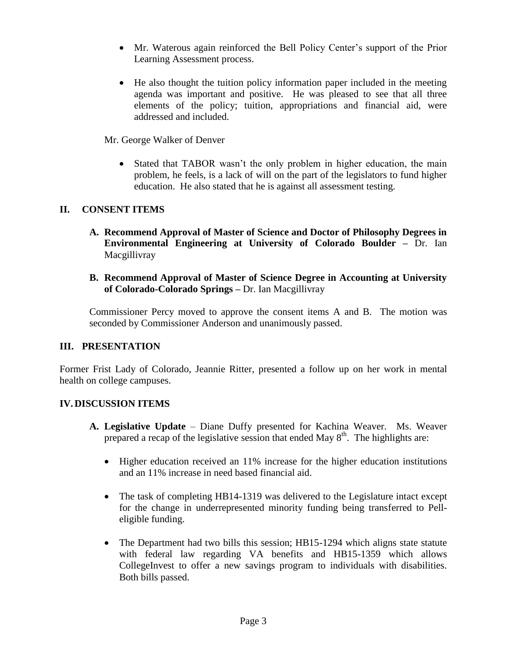- Mr. Waterous again reinforced the Bell Policy Center's support of the Prior Learning Assessment process.
- He also thought the tuition policy information paper included in the meeting agenda was important and positive. He was pleased to see that all three elements of the policy; tuition, appropriations and financial aid, were addressed and included.

Mr. George Walker of Denver

• Stated that TABOR wasn't the only problem in higher education, the main problem, he feels, is a lack of will on the part of the legislators to fund higher education. He also stated that he is against all assessment testing.

# **II. CONSENT ITEMS**

- **A. Recommend Approval of Master of Science and Doctor of Philosophy Degrees in Environmental Engineering at University of Colorado Boulder –** Dr. Ian Macgillivray
- **B. Recommend Approval of Master of Science Degree in Accounting at University of Colorado-Colorado Springs –** Dr. Ian Macgillivray

Commissioner Percy moved to approve the consent items A and B. The motion was seconded by Commissioner Anderson and unanimously passed.

# **III. PRESENTATION**

Former Frist Lady of Colorado, Jeannie Ritter, presented a follow up on her work in mental health on college campuses.

# **IV.DISCUSSION ITEMS**

- **A. Legislative Update** Diane Duffy presented for Kachina Weaver. Ms. Weaver prepared a recap of the legislative session that ended May  $8<sup>th</sup>$ . The highlights are:
	- Higher education received an 11% increase for the higher education institutions and an 11% increase in need based financial aid.
	- The task of completing HB14-1319 was delivered to the Legislature intact except for the change in underrepresented minority funding being transferred to Pelleligible funding.
	- The Department had two bills this session; HB15-1294 which aligns state statute with federal law regarding VA benefits and HB15-1359 which allows CollegeInvest to offer a new savings program to individuals with disabilities. Both bills passed.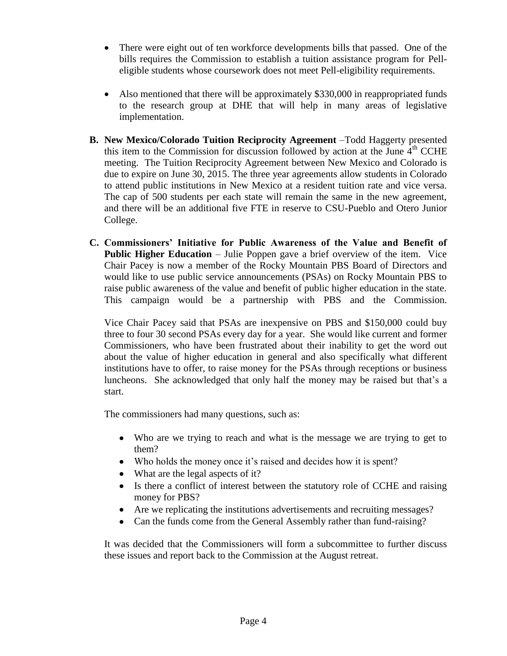- There were eight out of ten workforce developments bills that passed. One of the bills requires the Commission to establish a tuition assistance program for Pelleligible students whose coursework does not meet Pell-eligibility requirements.
- Also mentioned that there will be approximately \$330,000 in reappropriated funds to the research group at DHE that will help in many areas of legislative implementation.
- **B. New Mexico/Colorado Tuition Reciprocity Agreement** –Todd Haggerty presented this item to the Commission for discussion followed by action at the June  $4<sup>th</sup>$  CCHE meeting. The Tuition Reciprocity Agreement between New Mexico and Colorado is due to expire on June 30, 2015. The three year agreements allow students in Colorado to attend public institutions in New Mexico at a resident tuition rate and vice versa. The cap of 500 students per each state will remain the same in the new agreement, and there will be an additional five FTE in reserve to CSU-Pueblo and Otero Junior College.
- **C. Commissioners' Initiative for Public Awareness of the Value and Benefit of Public Higher Education** – Julie Poppen gave a brief overview of the item. Vice Chair Pacey is now a member of the Rocky Mountain PBS Board of Directors and would like to use public service announcements (PSAs) on Rocky Mountain PBS to raise public awareness of the value and benefit of public higher education in the state. This campaign would be a partnership with PBS and the Commission.

Vice Chair Pacey said that PSAs are inexpensive on PBS and \$150,000 could buy three to four 30 second PSAs every day for a year. She would like current and former Commissioners, who have been frustrated about their inability to get the word out about the value of higher education in general and also specifically what different institutions have to offer, to raise money for the PSAs through receptions or business luncheons. She acknowledged that only half the money may be raised but that's a start.

The commissioners had many questions, such as:

- Who are we trying to reach and what is the message we are trying to get to them?
- Who holds the money once it's raised and decides how it is spent?
- What are the legal aspects of it?
- Is there a conflict of interest between the statutory role of CCHE and raising money for PBS?
- Are we replicating the institutions advertisements and recruiting messages?
- Can the funds come from the General Assembly rather than fund-raising?

It was decided that the Commissioners will form a subcommittee to further discuss these issues and report back to the Commission at the August retreat.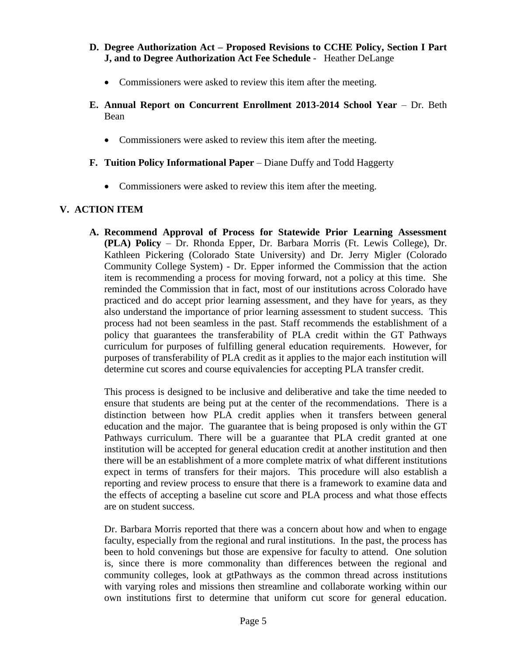#### **D. Degree Authorization Act – Proposed Revisions to CCHE Policy, Section I Part J, and to Degree Authorization Act Fee Schedule** - Heather DeLange

- Commissioners were asked to review this item after the meeting.
- **E. Annual Report on Concurrent Enrollment 2013-2014 School Year** Dr. Beth Bean
	- Commissioners were asked to review this item after the meeting.
- **F. Tuition Policy Informational Paper** Diane Duffy and Todd Haggerty
	- Commissioners were asked to review this item after the meeting.

# **V. ACTION ITEM**

**A. Recommend Approval of Process for Statewide Prior Learning Assessment (PLA) Policy** – Dr. Rhonda Epper, Dr. Barbara Morris (Ft. Lewis College), Dr. Kathleen Pickering (Colorado State University) and Dr. Jerry Migler (Colorado Community College System) - Dr. Epper informed the Commission that the action item is recommending a process for moving forward, not a policy at this time. She reminded the Commission that in fact, most of our institutions across Colorado have practiced and do accept prior learning assessment, and they have for years, as they also understand the importance of prior learning assessment to student success. This process had not been seamless in the past. Staff recommends the establishment of a policy that guarantees the transferability of PLA credit within the GT Pathways curriculum for purposes of fulfilling general education requirements. However, for purposes of transferability of PLA credit as it applies to the major each institution will determine cut scores and course equivalencies for accepting PLA transfer credit.

This process is designed to be inclusive and deliberative and take the time needed to ensure that students are being put at the center of the recommendations. There is a distinction between how PLA credit applies when it transfers between general education and the major. The guarantee that is being proposed is only within the GT Pathways curriculum. There will be a guarantee that PLA credit granted at one institution will be accepted for general education credit at another institution and then there will be an establishment of a more complete matrix of what different institutions expect in terms of transfers for their majors. This procedure will also establish a reporting and review process to ensure that there is a framework to examine data and the effects of accepting a baseline cut score and PLA process and what those effects are on student success.

Dr. Barbara Morris reported that there was a concern about how and when to engage faculty, especially from the regional and rural institutions. In the past, the process has been to hold convenings but those are expensive for faculty to attend. One solution is, since there is more commonality than differences between the regional and community colleges, look at gtPathways as the common thread across institutions with varying roles and missions then streamline and collaborate working within our own institutions first to determine that uniform cut score for general education.